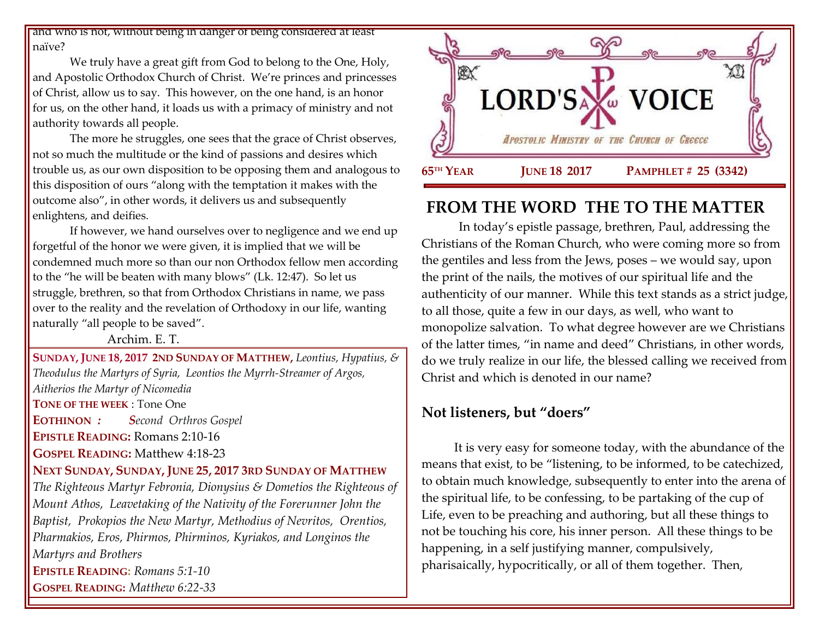and who is not, without being in danger of being considered at least naïve?

We truly have a great gift from God to belong to the One, Holy, and Apostolic Orthodox Church of Christ. We're princes and princesses of Christ, allow us to say. This however, on the one hand, is an honor for us, on the other hand, it loads us with a primacy of ministry and not authority towards all people.

The more he struggles, one sees that the grace of Christ observes, not so much the multitude or the kind of passions and desires which trouble us, as our own disposition to be opposing them and analogous to this disposition of ours "along with the temptation it makes with the outcome also", in other words, it delivers us and subsequently enlightens, and deifies.

If however, we hand ourselves over to negligence and we end up forgetful of the honor we were given, it is implied that we will be condemned much more so than our non Orthodox fellow men according to the "he will be beaten with many blows" (Lk. 12:47). So let us struggle, brethren, so that from Orthodox Christians in name, we pass over to the reality and the revelation of Orthodoxy in our life, wanting naturally "all people to be saved".

Archim. E. T.

**SUNDAY, JUNE 18, 2017 2ND SUNDAY OF MATTHEW,** *Leontius, Hypatius, & Theodulus the Martyrs of Syria, Leontios the Myrrh-Streamer of Argos, Aitherios the Martyr of Nicomedia* **TONE OF THE WEEK** : Tone One **EOTHINON** *: Second Orthros Gospel* **EPISTLE READING:** Romans 2:10-16 **GOSPEL READING:** Matthew 4:18-23 **NEXT SUNDAY, SUNDAY, JUNE 25, 2017 3RD SUNDAY OF MATTHEW** *The Righteous Martyr Febronia, Dionysius & Dometios the Righteous of Mount Athos, Leavetaking of the Nativity of the Forerunner John the Baptist, Prokopios the New Martyr, Methodius of Nevritos, Orentios, Pharmakios, Eros, Phirmos, Phirminos, Kyriakos, and Longinos the Martyrs and Brothers* **EPISTLE READING:** *[Romans 5:1-10](https://www.goarch.org/chapel/lectionary?type=epistle&code=27&event=940&date=5/28/2017)* **GOSPEL READING:** *[Matthew 6:22-33](https://www.goarch.org/chapel/lectionary?type=gospel&code=43&event=940&date=5/28/2017)*



# **FROM THE WORD THE TO THE MATTER**

In today's epistle passage, brethren, Paul, addressing the Christians of the Roman Church, who were coming more so from the gentiles and less from the Jews, poses – we would say, upon the print of the nails, the motives of our spiritual life and the authenticity of our manner. While this text stands as a strict judge, to all those, quite a few in our days, as well, who want to monopolize salvation. To what degree however are we Christians of the latter times, "in name and deed" Christians, in other words, do we truly realize in our life, the blessed calling we received from Christ and which is denoted in our name?

## **Not listeners, but "doers"**

It is very easy for someone today, with the abundance of the means that exist, to be "listening, to be informed, to be catechized, to obtain much knowledge, subsequently to enter into the arena of the spiritual life, to be confessing, to be partaking of the cup of Life, even to be preaching and authoring, but all these things to not be touching his core, his inner person. All these things to be happening, in a self justifying manner, compulsively, pharisaically, hypocritically, or all of them together. Then,